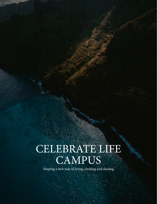## CELEBRATE LIFE CAMPUS

Shaping a new way of living, creating and sharing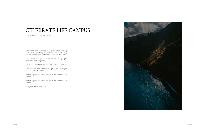## CELEBRATE LIFE CAMPUS

Experience the stunning beauty of organic living and ecstatic working. Unfold your true potential, express your talents and share them with the world.

The campus is a place where like minded people meet and create together.

Creations from the heart for a new world to unfold.

The celebrate life campus is a place where magic happens on a daily base.

Exploring and experiencing life in her fullness and richness.

Exploring and experiencing life in her fullness and richness.

Sexy, full of love and bliss.



Created for you by Christian Walker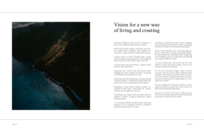Christian Walker's vision for the Campus is place surrounded by the beauty of nature.

Build with purely organic materials and sha pes. Shapes that accelerate and multiply ou creativity. A place build by enthusiastic peopl

A place where you feel vibrantly alive. Livin and working in inspiring spaces and building where you feel connected to your true self.

A place where you feel at home. A place when you feel seen and loved.

Enjoying raw, natural and self grown food Waking up in the middle of nature. Listening to the birds. Showering in the rain.

Sleeping in a bed made of pinus cembra, co cooned in fine linen, observing the cosmo and the stars trough the roof top.

Unfolding your talents and growing with the support of others. Living an authentic, nake and honest life.

Co Creating with like minded artists stunning products for an inspiring world in evolution and future generations to come.

Enjoying yourself by dancing in ecstasy, taking a shower under a waterfall, enjoying delicious food in the café or meditating in the sphere.

| a                           | Treating yourself with ecstatic tantra massages<br>in the most stunning Tantra temple or enjoying<br>the bliss of Yoga in a stunning surrounding.                                                                                                                           |
|-----------------------------|-----------------------------------------------------------------------------------------------------------------------------------------------------------------------------------------------------------------------------------------------------------------------------|
| a-<br>ur<br>le.<br>1g<br>gs | Want to feel vibrantly alive. Experiencing ma-<br>gic on a daily basis. Living an abundant lifesty-<br>le. Sourrounded by stunning beauty. Exploring<br>and unfolding your true potential and sharing<br>your talents with the world.                                       |
| re                          | Are you enthusiastic about life and the new<br>world to come and want to shape a new way of<br>living, creating and sharing.                                                                                                                                                |
| d.<br>1g<br>1g<br>us        | Do you love beautiful design, nature and the<br>cosmos? Are you corious about universal laws<br>of nature and want to experience life at its ful-<br>lest? Do you love working with natural materi-<br>als and are interested in supporting us to ma-<br>nifest our vision? |
| $0 -$<br>OS                 | We are looking for visionary's, healers, artists,<br>experts, investors, landowners who want to be<br>part of this beautiful adventure.                                                                                                                                     |
| <sub>1e</sub><br>эd         | Let's get in touch! I am corious who you are,<br>what you are passionate about and what talents<br>you want to share with the world.                                                                                                                                        |
| ıg                          |                                                                                                                                                                                                                                                                             |



## Vision for a new way of living and creating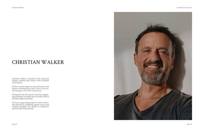Christian Walker is founder of the Universal Design Academy and creator of the Celebrate Life Campus.

He has a master degree in material science and business administration and a career as successful manager, CEO and entrepreneur.

During the last 20 years he has been supporting hundreds of people from all walk of life to life their highest potential.

He is now supporting people to create an abun- dant lifestyle by designing organic spaces and creating programs for people to experience and live their full potential.



## CHRISTIAN WALKER